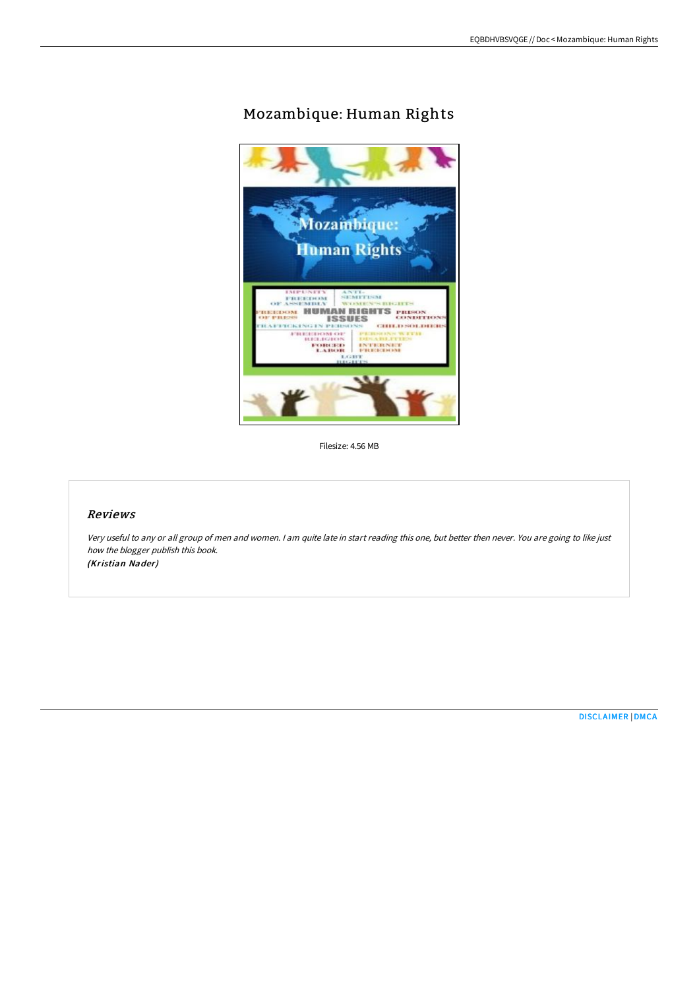## Mozambique: Human Rights



Filesize: 4.56 MB

## Reviews

Very useful to any or all group of men and women. <sup>I</sup> am quite late in start reading this one, but better then never. You are going to like just how the blogger publish this book. (Kristian Nader)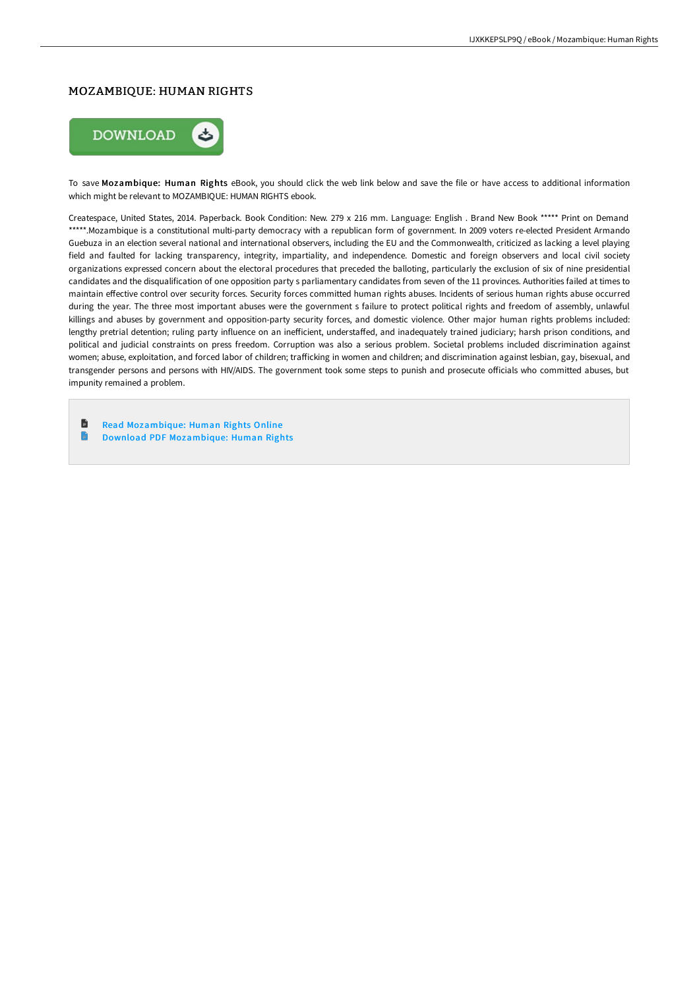## MOZAMBIQUE: HUMAN RIGHTS



To save Mozambique: Human Rights eBook, you should click the web link below and save the file or have access to additional information which might be relevant to MOZAMBIQUE: HUMAN RIGHTS ebook.

Createspace, United States, 2014. Paperback. Book Condition: New. 279 x 216 mm. Language: English . Brand New Book \*\*\*\*\* Print on Demand \*\*\*\*\*.Mozambique is a constitutional multi-party democracy with a republican form of government. In 2009 voters re-elected President Armando Guebuza in an election several national and international observers, including the EU and the Commonwealth, criticized as lacking a level playing field and faulted for lacking transparency, integrity, impartiality, and independence. Domestic and foreign observers and local civil society organizations expressed concern about the electoral procedures that preceded the balloting, particularly the exclusion of six of nine presidential candidates and the disqualification of one opposition party s parliamentary candidates from seven of the 11 provinces. Authorities failed at times to maintain effective control over security forces. Security forces committed human rights abuses. Incidents of serious human rights abuse occurred during the year. The three most important abuses were the government s failure to protect political rights and freedom of assembly, unlawful killings and abuses by government and opposition-party security forces, and domestic violence. Other major human rights problems included: lengthy pretrial detention; ruling party influence on an inefficient, understaffed, and inadequately trained judiciary; harsh prison conditions, and political and judicial constraints on press freedom. Corruption was also a serious problem. Societal problems included discrimination against women; abuse, exploitation, and forced labor of children; trafficking in women and children; and discrimination against lesbian, gay, bisexual, and transgender persons and persons with HIV/AIDS. The government took some steps to punish and prosecute officials who committed abuses, but impunity remained a problem.

- 旨 Read [Mozambique:](http://bookera.tech/mozambique-human-rights-paperback.html) Human Rights Online
- $\blacksquare$ Download PDF [Mozambique:](http://bookera.tech/mozambique-human-rights-paperback.html) Human Rights